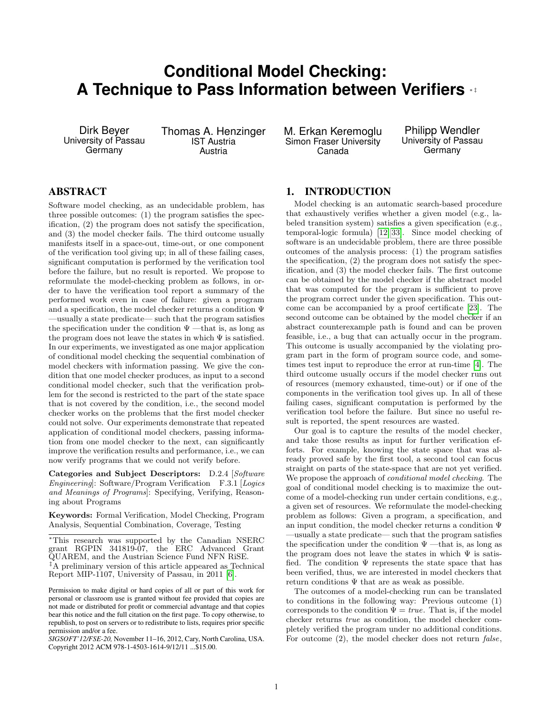# **Conditional Model Checking: A Technique to Pass Information between Verifiers ∗**

Dirk Beyer University of Passau **Germany** 

Thomas A. Henzinger IST Austria Austria

M. Erkan Keremoglu Simon Fraser University Canada

Philipp Wendler University of Passau **Germany** 

# ABSTRACT

Software model checking, as an undecidable problem, has three possible outcomes: (1) the program satisfies the specification, (2) the program does not satisfy the specification, and (3) the model checker fails. The third outcome usually manifests itself in a space-out, time-out, or one component of the verification tool giving up; in all of these failing cases, significant computation is performed by the verification tool before the failure, but no result is reported. We propose to reformulate the model-checking problem as follows, in order to have the verification tool report a summary of the performed work even in case of failure: given a program and a specification, the model checker returns a condition  $\Psi$ —usually a state predicate— such that the program satisfies the specification under the condition  $\Psi$  —that is, as long as the program does not leave the states in which  $\Psi$  is satisfied. In our experiments, we investigated as one major application of conditional model checking the sequential combination of model checkers with information passing. We give the condition that one model checker produces, as input to a second conditional model checker, such that the verification problem for the second is restricted to the part of the state space that is not covered by the condition, i.e., the second model checker works on the problems that the first model checker could not solve. Our experiments demonstrate that repeated application of conditional model checkers, passing information from one model checker to the next, can significantly improve the verification results and performance, i.e., we can now verify programs that we could not verify before.

Categories and Subject Descriptors: D.2.4 [Software Engineering]: Software/Program Verification F.3.1 [Logics and Meanings of Programs]: Specifying, Verifying, Reasoning about Programs

Keywords: Formal Verification, Model Checking, Program Analysis, Sequential Combination, Coverage, Testing

<sup>∗</sup>This research was supported by the Canadian NSERC grant RGPIN 341819-07, the ERC Advanced Grant QUAREM, and the Austrian Science Fund NFN RiSE. ‡A preliminary version of this article appeared as Technical Report MIP-1107, University of Passau, in 2011 [\[6\]](#page-10-0).

# <span id="page-0-0"></span>1. INTRODUCTION

Model checking is an automatic search-based procedure that exhaustively verifies whether a given model (e.g., labeled transition system) satisfies a given specification (e.g., temporal-logic formula) [\[12,](#page-10-1) [33\]](#page-10-2). Since model checking of software is an undecidable problem, there are three possible outcomes of the analysis process: (1) the program satisfies the specification, (2) the program does not satisfy the specification, and (3) the model checker fails. The first outcome can be obtained by the model checker if the abstract model that was computed for the program is sufficient to prove the program correct under the given specification. This outcome can be accompanied by a proof certificate [\[23\]](#page-10-3). The second outcome can be obtained by the model checker if an abstract counterexample path is found and can be proven feasible, i.e., a bug that can actually occur in the program. This outcome is usually accompanied by the violating program part in the form of program source code, and sometimes test input to reproduce the error at run-time [\[4\]](#page-10-4). The third outcome usually occurs if the model checker runs out of resources (memory exhausted, time-out) or if one of the components in the verification tool gives up. In all of these failing cases, significant computation is performed by the verification tool before the failure. But since no useful result is reported, the spent resources are wasted.

Our goal is to capture the results of the model checker, and take those results as input for further verification efforts. For example, knowing the state space that was already proved safe by the first tool, a second tool can focus straight on parts of the state-space that are not yet verified. We propose the approach of conditional model checking. The goal of conditional model checking is to maximize the outcome of a model-checking run under certain conditions, e.g., a given set of resources. We reformulate the model-checking problem as follows: Given a program, a specification, and an input condition, the model checker returns a condition  $\Psi$ —usually a state predicate— such that the program satisfies the specification under the condition  $\Psi$  —that is, as long as the program does not leave the states in which  $\Psi$  is satisfied. The condition  $\Psi$  represents the state space that has been verified, thus, we are interested in model checkers that return conditions  $\Psi$  that are as weak as possible.

The outcomes of a model-checking run can be translated to conditions in the following way: Previous outcome (1) corresponds to the condition  $\Psi = true$ . That is, if the model checker returns true as condition, the model checker completely verified the program under no additional conditions. For outcome (2), the model checker does not return false,

Permission to make digital or hard copies of all or part of this work for personal or classroom use is granted without fee provided that copies are not made or distributed for profit or commercial advantage and that copies bear this notice and the full citation on the first page. To copy otherwise, to republish, to post on servers or to redistribute to lists, requires prior specific permission and/or a fee.

*SIGSOFT'12/FSE-20,* November 11–16, 2012, Cary, North Carolina, USA. Copyright 2012 ACM 978-1-4503-1614-9/12/11 ...\$15.00.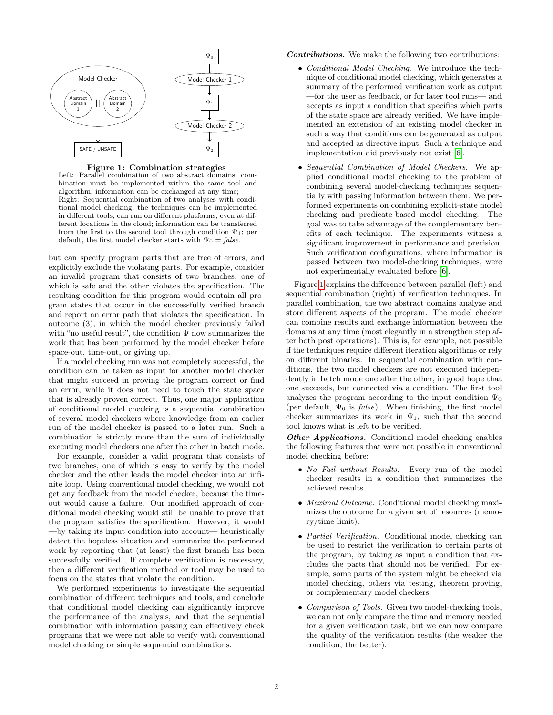

#### Figure 1: Combination strategies

Left: Parallel combination of two abstract domains; combination must be implemented within the same tool and algorithm; information can be exchanged at any time; Right: Sequential combination of two analyses with conditional model checking; the techniques can be implemented in different tools, can run on different platforms, even at different locations in the cloud; information can be transferred from the first to the second tool through condition  $\Psi_1$ ; per default, the first model checker starts with  $\Psi_0 = false$ .

but can specify program parts that are free of errors, and explicitly exclude the violating parts. For example, consider an invalid program that consists of two branches, one of which is safe and the other violates the specification. The resulting condition for this program would contain all program states that occur in the successfully verified branch and report an error path that violates the specification. In outcome (3), in which the model checker previously failed with "no useful result", the condition  $\Psi$  now summarizes the work that has been performed by the model checker before space-out, time-out, or giving up.

If a model checking run was not completely successful, the condition can be taken as input for another model checker that might succeed in proving the program correct or find an error, while it does not need to touch the state space that is already proven correct. Thus, one major application of conditional model checking is a sequential combination of several model checkers where knowledge from an earlier run of the model checker is passed to a later run. Such a combination is strictly more than the sum of individually executing model checkers one after the other in batch mode.

For example, consider a valid program that consists of two branches, one of which is easy to verify by the model checker and the other leads the model checker into an infinite loop. Using conventional model checking, we would not get any feedback from the model checker, because the timeout would cause a failure. Our modified approach of conditional model checking would still be unable to prove that the program satisfies the specification. However, it would —by taking its input condition into account— heuristically detect the hopeless situation and summarize the performed work by reporting that (at least) the first branch has been successfully verified. If complete verification is necessary, then a different verification method or tool may be used to focus on the states that violate the condition.

We performed experiments to investigate the sequential combination of different techniques and tools, and conclude that conditional model checking can significantly improve the performance of the analysis, and that the sequential combination with information passing can effectively check programs that we were not able to verify with conventional model checking or simple sequential combinations.

Contributions. We make the following two contributions:

- Conditional Model Checking. We introduce the technique of conditional model checking, which generates a summary of the performed verification work as output —for the user as feedback, or for later tool runs— and accepts as input a condition that specifies which parts of the state space are already verified. We have implemented an extension of an existing model checker in such a way that conditions can be generated as output and accepted as directive input. Such a technique and implementation did previously not exist [\[6\]](#page-10-0).
- Sequential Combination of Model Checkers. We applied conditional model checking to the problem of combining several model-checking techniques sequentially with passing information between them. We performed experiments on combining explicit-state model checking and predicate-based model checking. The goal was to take advantage of the complementary benefits of each technique. The experiments witness a significant improvement in performance and precision. Such verification configurations, where information is passed between two model-checking techniques, were not experimentally evaluated before [\[6\]](#page-10-0).

Figure [1](#page-0-0) explains the difference between parallel (left) and sequential combination (right) of verification techniques. In parallel combination, the two abstract domains analyze and store different aspects of the program. The model checker can combine results and exchange information between the domains at any time (most elegantly in a strengthen step after both post operations). This is, for example, not possible if the techniques require different iteration algorithms or rely on different binaries. In sequential combination with conditions, the two model checkers are not executed independently in batch mode one after the other, in good hope that one succeeds, but connected via a condition. The first tool analyzes the program according to the input condition  $\Psi_0$ (per default,  $\Psi_0$  is *false*). When finishing, the first model checker summarizes its work in  $\Psi_1$ , such that the second tool knows what is left to be verified.

Other Applications. Conditional model checking enables the following features that were not possible in conventional model checking before:

- No Fail without Results. Every run of the model checker results in a condition that summarizes the achieved results.
- Maximal Outcome. Conditional model checking maximizes the outcome for a given set of resources (memory/time limit).
- Partial Verification. Conditional model checking can be used to restrict the verification to certain parts of the program, by taking as input a condition that excludes the parts that should not be verified. For example, some parts of the system might be checked via model checking, others via testing, theorem proving, or complementary model checkers.
- Comparison of Tools. Given two model-checking tools, we can not only compare the time and memory needed for a given verification task, but we can now compare the quality of the verification results (the weaker the condition, the better).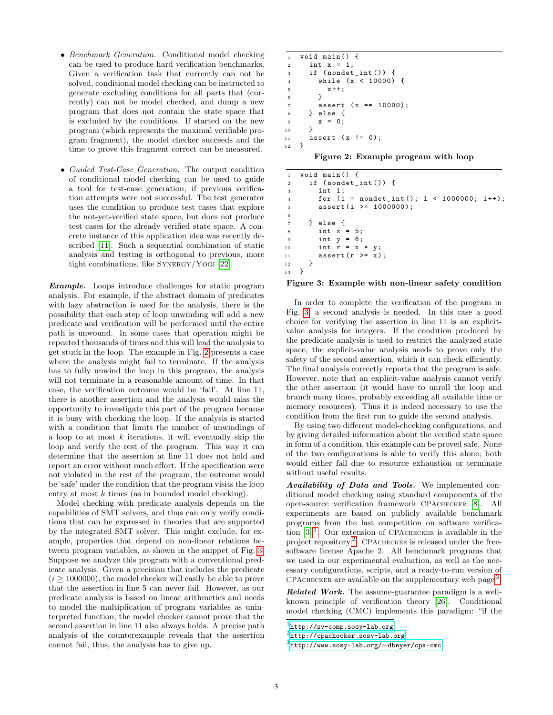- Benchmark Generation. Conditional model checking can be used to produce hard verification benchmarks. Given a verification task that currently can not be solved, conditional model checking can be instructed to generate excluding conditions for all parts that (currently) can not be model checked, and dump a new program that does not contain the state space that is excluded by the conditions. If started on the new program (which represents the maximal verifiable program fragment), the model checker succeeds and the time to prove this fragment correct can be measured.
- Guided Test-Case Generation. The output condition of conditional model checking can be used to guide a tool for test-case generation, if previous verification attempts were not successful. The test generator uses the condition to produce test cases that explore the not-yet-verified state space, but does not produce test cases for the already verified state space. A concrete instance of this application idea was recently described [\[11\]](#page-10-5). Such a sequential combination of static analysis and testing is orthogonal to previous, more tight combinations, like SYNERGY/YOGI [\[22\]](#page-10-6).

**Example.** Loops introduce challenges for static program analysis. For example, if the abstract domain of predicates with lazy abstraction is used for the analysis, there is the possibility that each step of loop unwinding will add a new predicate and verification will be performed until the entire path is unwound. In some cases that operation might be repeated thousands of times and this will lead the analysis to get stuck in the loop. The example in Fig. [2](#page-2-0) presents a case where the analysis might fail to terminate. If the analysis has to fully unwind the loop in this program, the analysis will not terminate in a reasonable amount of time. In that case, the verification outcome would be 'fail'. At line 11, there is another assertion and the analysis would miss the opportunity to investigate this part of the program because it is busy with checking the loop. If the analysis is started with a condition that limits the number of unwindings of a loop to at most  $k$  iterations, it will eventually skip the loop and verify the rest of the program. This way it can determine that the assertion at line 11 does not hold and report an error without much effort. If the specification were not violated in the rest of the program, the outcome would be 'safe' under the condition that the program visits the loop entry at most k times (as in bounded model checking).

Model checking with predicate analysis depends on the capabilities of SMT solvers, and thus can only verify conditions that can be expressed in theories that are supported by the integrated SMT solver. This might exclude, for example, properties that depend on non-linear relations between program variables, as shown in the snippet of Fig. [3.](#page-2-1) Suppose we analyze this program with a conventional predicate analysis. Given a precision that includes the predicate  $(i > 1000000)$ , the model checker will easily be able to prove that the assertion in line 5 can never fail. However, as our predicate analysis is based on linear arithmetics and needs to model the multiplication of program variables as uninterpreted function, the model checker cannot prove that the second assertion in line 11 also always holds. A precise path analysis of the counterexample reveals that the assertion cannot fail, thus, the analysis has to give up.

```
1 void main () {
2 int x = 1;
3 if ( nondet_int ()) {
4 while (x < 10000) {
5 x++;6 }
7 assert (x == 10000);
8 } else {
9 x = 0;<br>10 }
10 }
11 assert (x != 0);
12 }
```
<span id="page-2-0"></span>Figure 2: Example program with loop

```
1 void main () {
2 if ( nondet_int ()) {
3 int i;
4 for (i = nondet_int (); i < 1000000; i ++);
5 assert (i >= 1000000);
6
7 } else {
8 int x = 5;
9 int y = 6;
10 int r = x * y;11 assert (r \geq x);\begin{array}{ccc} 12 & & \\ 13 & & \end{array}13 }
```
#### <span id="page-2-1"></span>Figure 3: Example with non-linear safety condition

In order to complete the verification of the program in Fig. [3,](#page-2-1) a second analysis is needed. In this case a good choice for verifying the assertion in line 11 is an explicitvalue analysis for integers. If the condition produced by the predicate analysis is used to restrict the analyzed state space, the explicit-value analysis needs to prove only the safety of the second assertion, which it can check efficiently. The final analysis correctly reports that the program is safe. However, note that an explicit-value analysis cannot verify the other assertion (it would have to unroll the loop and branch many times, probably exceeding all available time or memory resources). Thus it is indeed necessary to use the condition from the first run to guide the second analysis.

By using two different model-checking configurations, and by giving detailed information about the verified state space in form of a condition, this example can be proved safe. None of the two configurations is able to verify this alone; both would either fail due to resource exhaustion or terminate without useful results.

Availability of Data and Tools. We implemented conditional model checking using standard components of the open-source verification framework CPAchecker [\[8\]](#page-10-7). All experiments are based on publicly available benchmark programs from the last competition on software verification  $[3]$ <sup>[1](#page-2-2)</sup>. Our extension of CPACHECKER is available in the project repository<sup>[2](#page-2-3)</sup>. CPACHECKER is released under the freesoftware license Apache 2. All benchmark programs that we used in our experimental evaluation, as well as the necessary configurations, scripts, and a ready-to-run version of CPACHECKER are available on the supplementary web page<sup>[3](#page-2-4)</sup>.

Related Work. The assume-guarantee paradigm is a wellknown principle of verification theory [\[26\]](#page-10-9). Conditional model checking (CMC) implements this paradigm: "if the

<span id="page-2-2"></span> $^{\rm 1}$ [http://sv-comp.sosy-lab.org](http://sv-comp.sosy-lab.org/)

<span id="page-2-3"></span> $^{2}$ [http://cpachecker.sosy-lab.org](http://cpachecker.sosy-lab.org/)

<span id="page-2-4"></span> $^3$ [http://www.sosy-lab.org/](http://www.sosy-lab.org/~dbeyer/cpa-cmc) $\sim$ dbeyer/cpa-cmc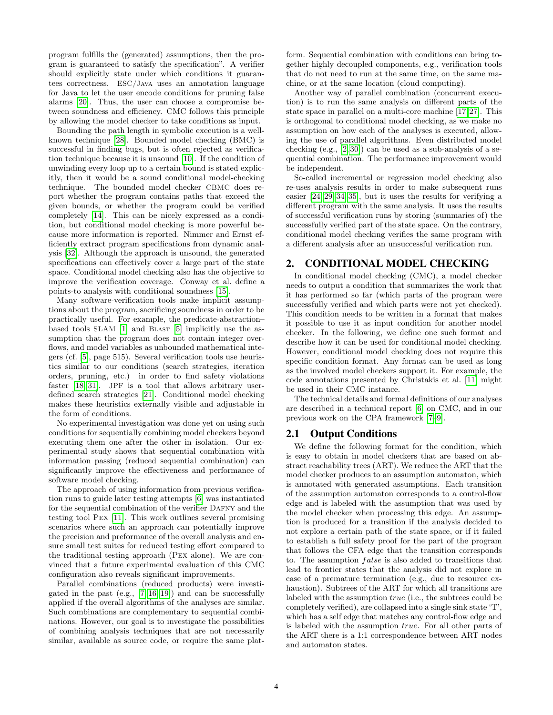program fulfills the (generated) assumptions, then the program is guaranteed to satisfy the specification". A verifier should explicitly state under which conditions it guarantees correctness. ESC/Java uses an annotation language for Java to let the user encode conditions for pruning false alarms [\[20\]](#page-10-10). Thus, the user can choose a compromise between soundness and efficiency. CMC follows this principle by allowing the model checker to take conditions as input.

Bounding the path length in symbolic execution is a wellknown technique [\[28\]](#page-10-11). Bounded model checking (BMC) is successful in finding bugs, but is often rejected as verification technique because it is unsound [\[10\]](#page-10-12). If the condition of unwinding every loop up to a certain bound is stated explicitly, then it would be a sound conditional model-checking technique. The bounded model checker CBMC does report whether the program contains paths that exceed the given bounds, or whether the program could be verified completely [\[14\]](#page-10-13). This can be nicely expressed as a condition, but conditional model checking is more powerful because more information is reported. Nimmer and Ernst efficiently extract program specifications from dynamic analysis [\[32\]](#page-10-14). Although the approach is unsound, the generated specifications can effectively cover a large part of the state space. Conditional model checking also has the objective to improve the verification coverage. Conway et al. define a points-to analysis with conditional soundness [\[15\]](#page-10-15).

Many software-verification tools make implicit assumptions about the program, sacrificing soundness in order to be practically useful. For example, the predicate-abstraction– based tools SLAM [\[1\]](#page-10-16) and BLAST [\[5\]](#page-10-17) implicitly use the assumption that the program does not contain integer overflows, and model variables as unbounded mathematical integers (cf. [\[5\]](#page-10-17), page 515). Several verification tools use heuristics similar to our conditions (search strategies, iteration orders, pruning, etc.) in order to find safety violations faster [\[18,](#page-10-18) [31\]](#page-10-19). JPF is a tool that allows arbitrary userdefined search strategies [\[21\]](#page-10-20). Conditional model checking makes these heuristics externally visible and adjustable in the form of conditions.

No experimental investigation was done yet on using such conditions for sequentially combining model checkers beyond executing them one after the other in isolation. Our experimental study shows that sequential combination with information passing (reduced sequential combination) can significantly improve the effectiveness and performance of software model checking.

The approach of using information from previous verification runs to guide later testing attempts [\[6\]](#page-10-0) was instantiated for the sequential combination of the verifier DAFNY and the testing tool Pex [\[11\]](#page-10-5). This work outlines several promising scenarios where such an approach can potentially improve the precision and preformance of the overall analysis and ensure small test suites for reduced testing effort compared to the traditional testing approach (Pex alone). We are convinced that a future experimental evaluation of this CMC configuration also reveals significant improvements.

Parallel combinations (reduced products) were investigated in the past  $(e.g., [7, 16, 19])$  $(e.g., [7, 16, 19])$  $(e.g., [7, 16, 19])$  $(e.g., [7, 16, 19])$  $(e.g., [7, 16, 19])$  and can be successfully applied if the overall algorithms of the analyses are similar. Such combinations are complementary to sequential combinations. However, our goal is to investigate the possibilities of combining analysis techniques that are not necessarily similar, available as source code, or require the same platform. Sequential combination with conditions can bring together highly decoupled components, e.g., verification tools that do not need to run at the same time, on the same machine, or at the same location (cloud computing).

Another way of parallel combination (concurrent execution) is to run the same analysis on different parts of the state space in parallel on a multi-core machine [\[17,](#page-10-24)[27\]](#page-10-25). This is orthogonal to conditional model checking, as we make no assumption on how each of the analyses is executed, allowing the use of parallel algorithms. Even distributed model checking (e.g., [\[2,](#page-10-26) [30\]](#page-10-27)) can be used as a sub-analysis of a sequential combination. The performance improvement would be independent.

So-called incremental or regression model checking also re-uses analysis results in order to make subsequent runs easier [\[24,](#page-10-28) [29,](#page-10-29) [34,](#page-10-30) [35\]](#page-10-31), but it uses the results for verifying a different program with the same analysis. It uses the results of successful verification runs by storing (summaries of) the successfully verified part of the state space. On the contrary, conditional model checking verifies the same program with a different analysis after an unsuccessful verification run.

#### <span id="page-3-0"></span>2. CONDITIONAL MODEL CHECKING

In conditional model checking (CMC), a model checker needs to output a condition that summarizes the work that it has performed so far (which parts of the program were successfully verified and which parts were not yet checked). This condition needs to be written in a format that makes it possible to use it as input condition for another model checker. In the following, we define one such format and describe how it can be used for conditional model checking. However, conditional model checking does not require this specific condition format. Any format can be used as long as the involved model checkers support it. For example, the code annotations presented by Christakis et al. [\[11\]](#page-10-5) might be used in their CMC instance.

The technical details and formal definitions of our analyses are described in a technical report [\[6\]](#page-10-0) on CMC, and in our previous work on the CPA framework [\[7–](#page-10-21)[9\]](#page-10-32).

#### 2.1 Output Conditions

We define the following format for the condition, which is easy to obtain in model checkers that are based on abstract reachability trees (ART). We reduce the ART that the model checker produces to an assumption automaton, which is annotated with generated assumptions. Each transition of the assumption automaton corresponds to a control-flow edge and is labeled with the assumption that was used by the model checker when processing this edge. An assumption is produced for a transition if the analysis decided to not explore a certain path of the state space, or if it failed to establish a full safety proof for the part of the program that follows the CFA edge that the transition corresponds to. The assumption *false* is also added to transitions that lead to frontier states that the analysis did not explore in case of a premature termination (e.g., due to resource exhaustion). Subtrees of the ART for which all transitions are labeled with the assumption true (i.e., the subtrees could be completely verified), are collapsed into a single sink state 'T', which has a self edge that matches any control-flow edge and is labeled with the assumption true. For all other parts of the ART there is a 1:1 correspondence between ART nodes and automaton states.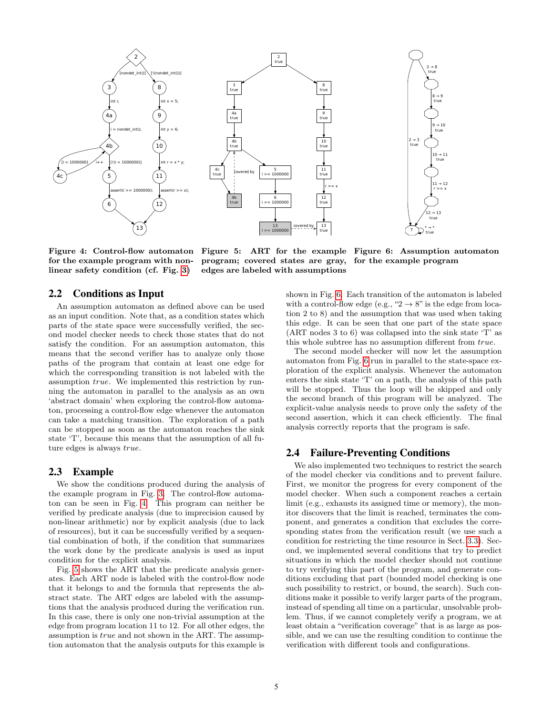

for the example program with non-program; covered states are gray, linear safety condition (cf. Fig. [3\)](#page-2-1) edges are labeled with assumptions

<span id="page-4-0"></span>Figure 4: Control-flow automaton Figure 5: ART for the example Figure 6: Assumption automaton

<span id="page-4-2"></span>for the example program

#### 2.2 Conditions as Input

An assumption automaton as defined above can be used as an input condition. Note that, as a condition states which parts of the state space were successfully verified, the second model checker needs to check those states that do not satisfy the condition. For an assumption automaton, this means that the second verifier has to analyze only those paths of the program that contain at least one edge for which the corresponding transition is not labeled with the assumption true. We implemented this restriction by running the automaton in parallel to the analysis as an own 'abstract domain' when exploring the control-flow automaton, processing a control-flow edge whenever the automaton can take a matching transition. The exploration of a path can be stopped as soon as the automaton reaches the sink state 'T', because this means that the assumption of all future edges is always true.

#### 2.3 Example

We show the conditions produced during the analysis of the example program in Fig. [3.](#page-2-1) The control-flow automaton can be seen in Fig. [4.](#page-4-0) This program can neither be verified by predicate analysis (due to imprecision caused by non-linear arithmetic) nor by explicit analysis (due to lack of resources), but it can be successfully verified by a sequential combination of both, if the condition that summarizes the work done by the predicate analysis is used as input condition for the explicit analysis.

Fig. [5](#page-4-1) shows the ART that the predicate analysis generates. Each ART node is labeled with the control-flow node that it belongs to and the formula that represents the abstract state. The ART edges are labeled with the assumptions that the analysis produced during the verification run. In this case, there is only one non-trivial assumption at the edge from program location 11 to 12. For all other edges, the assumption is true and not shown in the ART. The assumption automaton that the analysis outputs for this example is <span id="page-4-1"></span>shown in Fig. [6.](#page-4-2) Each transition of the automaton is labeled with a control-flow edge (e.g., " $2 \rightarrow 8$ " is the edge from location 2 to 8) and the assumption that was used when taking this edge. It can be seen that one part of the state space (ART nodes 3 to 6) was collapsed into the sink state 'T' as this whole subtree has no assumption different from true.

The second model checker will now let the assumption automaton from Fig. [6](#page-4-2) run in parallel to the state-space exploration of the explicit analysis. Whenever the automaton enters the sink state 'T' on a path, the analysis of this path will be stopped. Thus the loop will be skipped and only the second branch of this program will be analyzed. The explicit-value analysis needs to prove only the safety of the second assertion, which it can check efficiently. The final analysis correctly reports that the program is safe.

#### 2.4 Failure-Preventing Conditions

We also implemented two techniques to restrict the search of the model checker via conditions and to prevent failure. First, we monitor the progress for every component of the model checker. When such a component reaches a certain limit (e.g., exhausts its assigned time or memory), the monitor discovers that the limit is reached, terminates the component, and generates a condition that excludes the corresponding states from the verification result (we use such a condition for restricting the time resource in Sect. [3.3\)](#page-5-0). Second, we implemented several conditions that try to predict situations in which the model checker should not continue to try verifying this part of the program, and generate conditions excluding that part (bounded model checking is one such possibility to restrict, or bound, the search). Such conditions make it possible to verify larger parts of the program, instead of spending all time on a particular, unsolvable problem. Thus, if we cannot completely verify a program, we at least obtain a "verification coverage" that is as large as possible, and we can use the resulting condition to continue the verification with different tools and configurations.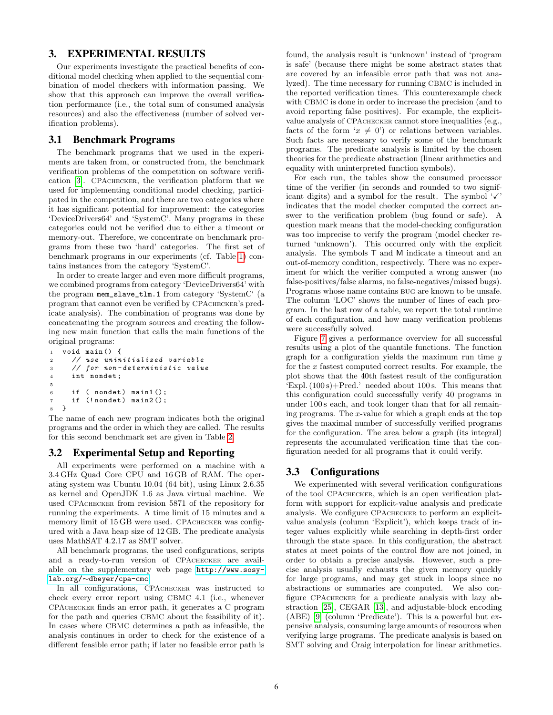## 3. EXPERIMENTAL RESULTS

Our experiments investigate the practical benefits of conditional model checking when applied to the sequential combination of model checkers with information passing. We show that this approach can improve the overall verification performance (i.e., the total sum of consumed analysis resources) and also the effectiveness (number of solved verification problems).

#### 3.1 Benchmark Programs

The benchmark programs that we used in the experiments are taken from, or constructed from, the benchmark verification problems of the competition on software verification [\[3\]](#page-10-8). CPAchecker, the verification platform that we used for implementing conditional model checking, participated in the competition, and there are two categories where it has significant potential for improvement: the categories 'DeviceDrivers64' and 'SystemC'. Many programs in these categories could not be verified due to either a timeout or memory-out. Therefore, we concentrate on benchmark programs from these two 'hard' categories. The first set of benchmark programs in our experiments (cf. Table [1\)](#page-7-0) contains instances from the category 'SystemC'.

In order to create larger and even more difficult programs, we combined programs from category 'DeviceDrivers64' with the program mem\_slave\_tlm.1 from category 'SystemC' (a program that cannot even be verified by CPAchecker's predicate analysis). The combination of programs was done by concatenating the program sources and creating the following new main function that calls the main functions of the original programs:

```
1 void main () {
2 // use uninitialized variable
3 // for non - determ inistic value
4 int nondet ;
5
6 if ( nondet) main1();<br>
\begin{array}{ll} 7 & \text{if } (\text{Inondet}) \text{ main2}(); \end{array}( ! nondet ) main2();
8 }
```
The name of each new program indicates both the original programs and the order in which they are called. The results for this second benchmark set are given in Table [2.](#page-8-0)

#### 3.2 Experimental Setup and Reporting

All experiments were performed on a machine with a 3.4 GHz Quad Core CPU and 16 GB of RAM. The operating system was Ubuntu 10.04 (64 bit), using Linux 2.6.35 as kernel and OpenJDK 1.6 as Java virtual machine. We used CPAchecker from revision 5871 of the repository for running the experiments. A time limit of 15 minutes and a memory limit of 15 GB were used. CPACHECKER was configured with a Java heap size of 12 GB. The predicate analysis uses MathSAT 4.2.17 as SMT solver.

All benchmark programs, the used configurations, scripts and a ready-to-run version of CPAchecker are available on the supplementary web page [http://www.sosy](http://www.sosy-lab.org/~dbeyer/cpa-cmc)lab.org/∼[dbeyer/cpa-cmc](http://www.sosy-lab.org/~dbeyer/cpa-cmc).

In all configurations, CPAchecker was instructed to check every error report using CBMC 4.1 (i.e., whenever CPAchecker finds an error path, it generates a C program for the path and queries CBMC about the feasibility of it). In cases where CBMC determines a path as infeasible, the analysis continues in order to check for the existence of a different feasible error path; if later no feasible error path is found, the analysis result is 'unknown' instead of 'program is safe' (because there might be some abstract states that are covered by an infeasible error path that was not analyzed). The time necessary for running CBMC is included in the reported verification times. This counterexample check with CBMC is done in order to increase the precision (and to avoid reporting false positives). For example, the explicitvalue analysis of CPAchecker cannot store inequalities (e.g., facts of the form ' $x \neq 0$ ') or relations between variables. Such facts are necessary to verify some of the benchmark programs. The predicate analysis is limited by the chosen theories for the predicate abstraction (linear arithmetics and equality with uninterpreted function symbols).

For each run, the tables show the consumed processor time of the verifier (in seconds and rounded to two significant digits) and a symbol for the result. The symbol  $\checkmark$ indicates that the model checker computed the correct answer to the verification problem (bug found or safe). A question mark means that the model-checking configuration was too imprecise to verify the program (model checker returned 'unknown'). This occurred only with the explicit analysis. The symbols T and M indicate a timeout and an out-of-memory condition, respectively. There was no experiment for which the verifier computed a wrong answer (no false-positives/false alarms, no false-negatives/missed bugs). Programs whose name contains bug are known to be unsafe. The column 'LOC' shows the number of lines of each program. In the last row of a table, we report the total runtime of each configuration, and how many verification problems were successfully solved.

Figure [7](#page-9-0) gives a performance overview for all successful results using a plot of the quantile functions. The function graph for a configuration yields the maximum run time  $y$ for the  $x$  fastest computed correct results. For example, the plot shows that the 40th fastest result of the configuration 'Expl.  $(100 s)$ +Pred.' needed about 100 s. This means that this configuration could successfully verify 40 programs in under 100 s each, and took longer than that for all remaining programs. The x-value for which a graph ends at the top gives the maximal number of successfully verified programs for the configuration. The area below a graph (its integral) represents the accumulated verification time that the configuration needed for all programs that it could verify.

## <span id="page-5-0"></span>3.3 Configurations

We experimented with several verification configurations of the tool CPAchecker, which is an open verification platform with support for explicit-value analysis and predicate analysis. We configure CPAchecker to perform an explicitvalue analysis (column 'Explicit'), which keeps track of integer values explicitly while searching in depth-first order through the state space. In this configuration, the abstract states at meet points of the control flow are not joined, in order to obtain a precise analysis. However, such a precise analysis usually exhausts the given memory quickly for large programs, and may get stuck in loops since no abstractions or summaries are computed. We also configure CPAchecker for a predicate analysis with lazy abstraction [\[25\]](#page-10-33), CEGAR [\[13\]](#page-10-34), and adjustable-block encoding (ABE) [\[9\]](#page-10-32) (column 'Predicate'). This is a powerful but expensive analysis, consuming large amounts of resources when verifying large programs. The predicate analysis is based on SMT solving and Craig interpolation for linear arithmetics.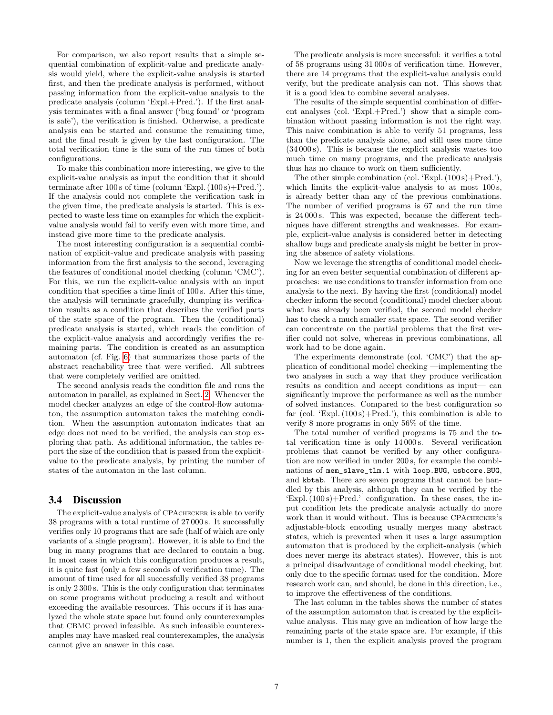For comparison, we also report results that a simple sequential combination of explicit-value and predicate analysis would yield, where the explicit-value analysis is started first, and then the predicate analysis is performed, without passing information from the explicit-value analysis to the predicate analysis (column 'Expl.+Pred.'). If the first analysis terminates with a final answer ('bug found' or 'program is safe'), the verification is finished. Otherwise, a predicate analysis can be started and consume the remaining time, and the final result is given by the last configuration. The total verification time is the sum of the run times of both configurations.

To make this combination more interesting, we give to the explicit-value analysis as input the condition that it should terminate after 100 s of time (column 'Expl. (100 s)+Pred.'). If the analysis could not complete the verification task in the given time, the predicate analysis is started. This is expected to waste less time on examples for which the explicitvalue analysis would fail to verify even with more time, and instead give more time to the predicate analysis.

The most interesting configuration is a sequential combination of explicit-value and predicate analysis with passing information from the first analysis to the second, leveraging the features of conditional model checking (column 'CMC'). For this, we run the explicit-value analysis with an input condition that specifies a time limit of 100 s. After this time, the analysis will terminate gracefully, dumping its verification results as a condition that describes the verified parts of the state space of the program. Then the (conditional) predicate analysis is started, which reads the condition of the explicit-value analysis and accordingly verifies the remaining parts. The condition is created as an assumption automaton (cf. Fig. [6\)](#page-4-2) that summarizes those parts of the abstract reachability tree that were verified. All subtrees that were completely verified are omitted.

The second analysis reads the condition file and runs the automaton in parallel, as explained in Sect. [2.](#page-3-0) Whenever the model checker analyzes an edge of the control-flow automaton, the assumption automaton takes the matching condition. When the assumption automaton indicates that an edge does not need to be verified, the analysis can stop exploring that path. As additional information, the tables report the size of the condition that is passed from the explicitvalue to the predicate analysis, by printing the number of states of the automaton in the last column.

#### 3.4 Discussion

The explicit-value analysis of CPAchecker is able to verify 38 programs with a total runtime of 27 000 s. It successfully verifies only 10 programs that are safe (half of which are only variants of a single program). However, it is able to find the bug in many programs that are declared to contain a bug. In most cases in which this configuration produces a result, it is quite fast (only a few seconds of verification time). The amount of time used for all successfully verified 38 programs is only 2 300 s. This is the only configuration that terminates on some programs without producing a result and without exceeding the available resources. This occurs if it has analyzed the whole state space but found only counterexamples that CBMC proved infeasible. As such infeasible counterexamples may have masked real counterexamples, the analysis cannot give an answer in this case.

The predicate analysis is more successful: it verifies a total of 58 programs using 31 000 s of verification time. However, there are 14 programs that the explicit-value analysis could verify, but the predicate analysis can not. This shows that it is a good idea to combine several analyses.

The results of the simple sequential combination of different analyses (col. 'Expl.+Pred.') show that a simple combination without passing information is not the right way. This naive combination is able to verify 51 programs, less than the predicate analysis alone, and still uses more time (34 000 s). This is because the explicit analysis wastes too much time on many programs, and the predicate analysis thus has no chance to work on them sufficiently.

The other simple combination (col. 'Expl.  $(100 s) + Pred.'$ ), which limits the explicit-value analysis to at most  $100 \text{ s}$ , is already better than any of the previous combinations. The number of verified programs is 67 and the run time is 24 000 s. This was expected, because the different techniques have different strengths and weaknesses. For example, explicit-value analysis is considered better in detecting shallow bugs and predicate analysis might be better in proving the absence of safety violations.

Now we leverage the strengths of conditional model checking for an even better sequential combination of different approaches: we use conditions to transfer information from one analysis to the next. By having the first (conditional) model checker inform the second (conditional) model checker about what has already been verified, the second model checker has to check a much smaller state space. The second verifier can concentrate on the partial problems that the first verifier could not solve, whereas in previous combinations, all work had to be done again.

The experiments demonstrate (col. 'CMC') that the application of conditional model checking —implementing the two analyses in such a way that they produce verification results as condition and accept conditions as input— can significantly improve the performance as well as the number of solved instances. Compared to the best configuration so far (col. 'Expl.  $(100 s)$ +Pred.'), this combination is able to verify 8 more programs in only 56% of the time.

The total number of verified programs is 75 and the total verification time is only 14 000 s. Several verification problems that cannot be verified by any other configuration are now verified in under 200 s, for example the combinations of mem\_slave\_tlm.1 with loop.BUG, usbcore.BUG, and kbtab. There are seven programs that cannot be handled by this analysis, although they can be verified by the 'Expl.  $(100 s)$ +Pred.' configuration. In these cases, the input condition lets the predicate analysis actually do more work than it would without. This is because CPAchecker's adjustable-block encoding usually merges many abstract states, which is prevented when it uses a large assumption automaton that is produced by the explicit-analysis (which does never merge its abstract states). However, this is not a principal disadvantage of conditional model checking, but only due to the specific format used for the condition. More research work can, and should, be done in this direction, i.e., to improve the effectiveness of the conditions.

The last column in the tables shows the number of states of the assumption automaton that is created by the explicitvalue analysis. This may give an indication of how large the remaining parts of the state space are. For example, if this number is 1, then the explicit analysis proved the program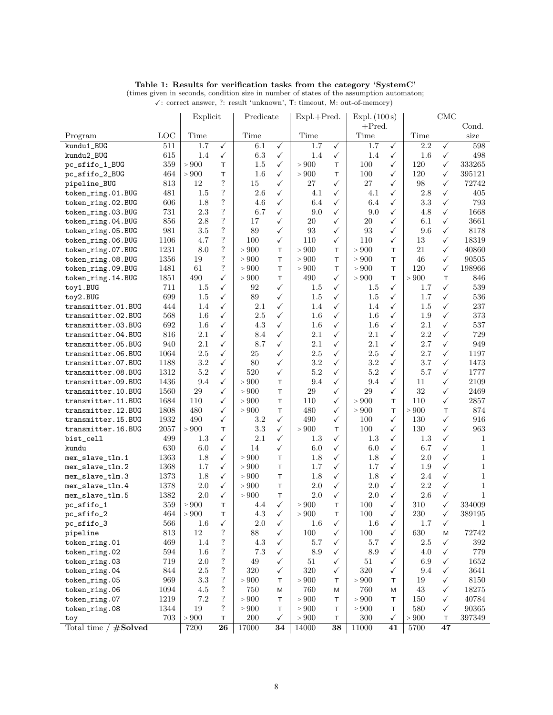| Table 1: Results for verification tasks from the category 'SystemC' |  |
|---------------------------------------------------------------------|--|
|---------------------------------------------------------------------|--|

 $\checkmark$ : correct answer, ?: result 'unknown', T: timeout, M: out-of-memory)

|                        |      | Explicit |                          | Predicate |                 | $Expl.+Pred.$ |                 | Expl. (100 s) |                 | <b>CMC</b> |                 |              |  |
|------------------------|------|----------|--------------------------|-----------|-----------------|---------------|-----------------|---------------|-----------------|------------|-----------------|--------------|--|
|                        |      |          |                          |           |                 |               |                 | $+$ Pred.     |                 |            | Cond.           |              |  |
| Program                | LOC  | Time     |                          | Time      |                 | Time          |                 | Time          |                 | Time       |                 | size         |  |
| kundu1 BUG             | 511  | 1.7      | ✓                        | 6.1       | $\checkmark$    | 1.7           | $\checkmark$    | 1.7           | ✓               | 2.2        | ✓               | 598          |  |
| kundu2_BUG             | 615  | 1.4      | ✓                        | 6.3       | ✓               | 1.4           | $\checkmark$    | 1.4           | ✓               | 1.6        | ✓               | 498          |  |
| pc_sfifo_1_BUG         | 359  | > 900    | T.                       | 1.5       | ✓               | > 900         | T               | 100           | ✓               | 120        | ✓               | 333265       |  |
| pc_sfifo_2_BUG         | 464  | > 900    | T.                       | 1.6       | ✓               | > 900         | T.              | 100           | ✓               | 120        | $\checkmark$    | 395121       |  |
| pipeline_BUG           | 813  | 12       | $\overline{\mathcal{L}}$ | 15        | ✓               | 27            | $\checkmark$    | 27            | ✓               | 98         | ✓               | 72742        |  |
| token_ring.01.BUG      | 481  | 1.5      | $\overline{\mathcal{L}}$ | 2.6       | ✓               | 4.1           | $\checkmark$    | 4.1           | ✓               | 2.8        | ✓               | 405          |  |
| token_ring.02.BUG      | 606  | 1.8      | $\overline{\mathcal{L}}$ | 4.6       | ✓               | 6.4           | ✓               | 6.4           | ✓               | 3.3        | ✓               | 793          |  |
| token_ring.03.BUG      | 731  | 2.3      | $\overline{\mathcal{L}}$ | 6.7       | ✓               | 9.0           | $\checkmark$    | 9.0           | ✓               | 4.8        | ✓               | 1668         |  |
| token_ring.04.BUG      | 856  | 2.8      | $\overline{\mathcal{L}}$ | 17        | ✓               | 20            | $\checkmark$    | 20            | ✓               | 6.1        | $\checkmark$    | 3661         |  |
| token_ring.05.BUG      | 981  | $3.5\,$  | $\overline{?}$           | 89        | ✓               | 93            | $\checkmark$    | 93            | ✓               | 9.6        | ✓               | 8178         |  |
| token_ring.06.BUG      | 1106 | 4.7      | $\overline{?}$           | 100       | ✓               | 110           | $\checkmark$    | 110           | ✓               | 13         | $\checkmark$    | 18319        |  |
| token_ring.07.BUG      | 1231 | 8.0      | $\overline{?}$           | > 900     | T.              | $>900$        | T               | > 900         | T               | 21         | ✓               | 40860        |  |
| token_ring.08.BUG      | 1356 | 19       | $\overline{?}$           | > 900     | T.              | > 900         | T               | > 900         | T               | 46         | ✓               | 90505        |  |
| token_ring.09.BUG      | 1481 | 61       | $\overline{?}$           | > 900     | T.              | > 900         | T               | > 900         | T               | 120        | ✓               | 198966       |  |
| token_ring.14.BUG      | 1851 | 490      | $\checkmark$             | > 900     | T.              | 490           | $\checkmark$    | > 900         | T               | > 900      | T               | 846          |  |
| toy1.BUG               | 711  | $1.5\,$  | $\checkmark$             | 92        | ✓               | 1.5           | $\checkmark$    | $1.5\,$       | ✓               | 1.7        | ✓               | 539          |  |
| toy2.BUG               | 699  | 1.5      | ✓                        | 89        | ✓               | 1.5           | $\checkmark$    | 1.5           | ✓               | 1.7        | $\checkmark$    | 536          |  |
| transmitter.01.BUG     | 444  | 1.4      | ✓                        | 2.1       | ✓               | 1.4           | ✓               | 1.4           | ✓               | 1.5        | ✓               | 237          |  |
| transmitter.02.BUG     | 568  | 1.6      | ✓                        | 2.5       | $\checkmark$    | $1.6\,$       | $\checkmark$    | 1.6           | $\checkmark$    | 1.9        | ✓               | 373          |  |
| transmitter.03.BUG     | 692  | 1.6      | $\checkmark$             | 4.3       | $\checkmark$    | 1.6           | $\checkmark$    | 1.6           | ✓               | 2.1        | $\checkmark$    | 537          |  |
| transmitter.04.BUG     | 816  | 2.1      | ✓                        | 8.4       | $\checkmark$    | 2.1           | $\checkmark$    | 2.1           | ✓               | 2.2        | ✓               | 729          |  |
| transmitter.05.BUG     | 940  | 2.1      | ✓                        | 8.7       | ✓               | 2.1           | ✓               | 2.1           | ✓               | 2.7        | ✓               | 949          |  |
| transmitter.06.BUG     | 1064 | $2.5\,$  | ✓                        | 25        | $\checkmark$    | $2.5\,$       | $\checkmark$    | $2.5\,$       | ✓               | 2.7        | ✓               | 1197         |  |
|                        |      |          |                          |           |                 |               |                 |               |                 |            |                 |              |  |
| transmitter.07.BUG     | 1188 | $3.2\,$  | $\checkmark$             | 80        | ✓               | $3.2\,$       | $\checkmark$    | $3.2\,$       | ✓               | 3.7        | ✓               | 1473         |  |
| transmitter.08.BUG     | 1312 | $5.2\,$  | ✓                        | 520       | ✓               | $5.2\,$       | $\checkmark$    | $5.2\,$       | ✓               | 5.7        | ✓               | 1777         |  |
| transmitter.09.BUG     | 1436 | 9.4      | ✓                        | > 900     | T.              | 9.4           | ✓               | 9.4           | ✓               | 11         | ✓               | 2109         |  |
| transmitter.10.BUG     | 1560 | 29       | ✓                        | > 900     | T.              | 29            | $\checkmark$    | 29            | ✓               | 32         | ✓               | 2469         |  |
| transmitter.11.BUG     | 1684 | 110      | $\checkmark$             | > 900     | T.              | 110           | $\checkmark$    | > 900         | T               | 110        | ✓               | 2857         |  |
| transmitter.12.BUG     | 1808 | 480      | ✓                        | > 900     | T               | 480           | $\checkmark$    | > 900         | T               | > 900      | T               | 874          |  |
| transmitter.15.BUG     | 1932 | 490      | ✓                        | 3.2       | ✓               | 490           | $\checkmark$    | 100           | ✓               | 130        | ✓               | 916          |  |
| transmitter.16.BUG     | 2057 | > 900    | T.                       | 3.3       | $\checkmark$    | > 900         | T               | 100           | ✓               | 130        | $\checkmark$    | 963          |  |
| bist_cell              | 499  | 1.3      | ✓                        | 2.1       | $\checkmark$    | $1.3\,$       | $\checkmark$    | $1.3\,$       | ✓               | 1.3        | ✓               | 1            |  |
| kundu                  | 630  | 6.0      | ✓                        | 14        | ✓               | 6.0           | $\checkmark$    | 6.0           | ✓               | 6.7        | ✓               | $\mathbf{1}$ |  |
| mem_slave_tlm.1        | 1363 | 1.8      | ✓                        | > 900     | T.              | 1.8           | $\checkmark$    | 1.8           | ✓               | 2.0        | ✓               | $\mathbf{1}$ |  |
| mem_slave_tlm.2        | 1368 | 1.7      | $\checkmark$             | > 900     | T.              | 1.7           | $\checkmark$    | 1.7           | ✓               | 1.9        | ✓               | $\mathbf{1}$ |  |
| mem_slave_tlm.3        | 1373 | 1.8      | ✓                        | $>900$    | T.              | 1.8           | $\checkmark$    | 1.8           | ✓               | 2.4        | $\checkmark$    | $\mathbf{1}$ |  |
| mem_slave_tlm.4        | 1378 | 2.0      | ✓                        | > 900     | T.              | 2.0           | $\checkmark$    | $2.0\,$       | ✓               | 2.2        | ✓               | $\mathbf{1}$ |  |
| mem_slave_tlm.5        | 1382 | $2.0\,$  | ✓                        | > 900     | T.              | 2.0           | ✓               | $2.0\,$       | ✓               | $2.6\,$    | ✓               | $\mathbf{1}$ |  |
| pc_sfifo_1             | 359  | > 900    | T.                       | 4.4       | ✓               | > 900         | T.              | 100           | ✓               | 310        | $\checkmark$    | 334009       |  |
| pc_sfifo_2             | 464  | $>900$   | T.                       | 4.3       | $\checkmark$    | $>900$        | T               | 100           | ✓               | 230        | ✓               | 389195       |  |
| pc_sfifo_3             | 566  | 1.6      | √                        | $2.0\,$   | ✓               | $1.6\,$       | ✓               | $1.6\,$       | ✓               | 1.7        | √               | 1            |  |
| pipeline               | 813  | $12\,$   | $\ddot{?}$               | 88        | $\checkmark$    | 100           | $\checkmark$    | 100           | $\checkmark$    | 630        | M               | 72742        |  |
| token_ring.01          | 469  | 1.4      | $\ddot{?}$               | 4.3       | $\checkmark$    | 5.7           | $\checkmark$    | 5.7           | $\checkmark$    | $2.5\,$    | ✓               | 392          |  |
| token_ring.02          | 594  | $1.6\,$  | $\ddot{?}$               | 7.3       | $\checkmark$    | 8.9           | $\checkmark$    | 8.9           | ✓               | 4.0        | ✓               | 779          |  |
| token_ring.03          | 719  | 2.0      | $\ddot{?}$               | 49        | ✓               | 51            | $\checkmark$    | 51            | ✓               | 6.9        | ✓               | 1652         |  |
| token_ring.04          | 844  | 2.5      | $\ddot{?}$               | 320       | ✓               | 320           | $\checkmark$    | 320           | $\checkmark$    | 9.4        | ✓               | 3641         |  |
| token_ring.05          | 969  | 3.3      | $\boldsymbol ?$          | $>900$    | T               | $>900$        | T               | $>900$        | T.              | 19         | ✓               | 8150         |  |
| token_ring.06          | 1094 | 4.5      | $\ddot{?}$               | 750       | М               | 760           | M               | 760           | Μ               | 43         | ✓               | 18275        |  |
| token_ring.07          | 1219 | 7.2      | $\ddot{?}$               | > 900     | т               | $>900$        | т               | $>900$        | т               | 150        | ✓               | 40784        |  |
| token_ring.08          | 1344 | 19       | $\ddot{?}$               | $>900$    | T               | $>900$        | $\top$          | $>900$        | T               | 580        | ✓               | 90365        |  |
| toy                    | 703  | $>900$   | T                        | 200       | ✓               | $>900$        | T               | 300           | ✓               | $>900$     | Τ               | 397349       |  |
| Total time $/$ #Solved |      | 7200     | $\overline{26}$          | 17000     | $\overline{34}$ | 14000         | $\overline{38}$ | 11000         | $\overline{41}$ | 5700       | $\overline{47}$ |              |  |
|                        |      |          |                          |           |                 |               |                 |               |                 |            |                 |              |  |

(times given in seconds, condition size in number of states of the assumption automaton;

<span id="page-7-0"></span> $\left| \right|$  Explicit  $\left| \right|$  Predicate  $\left| \right|$  Expl.  $\left| \right|$  Expl. (100 s)  $\left| \right|$  CMC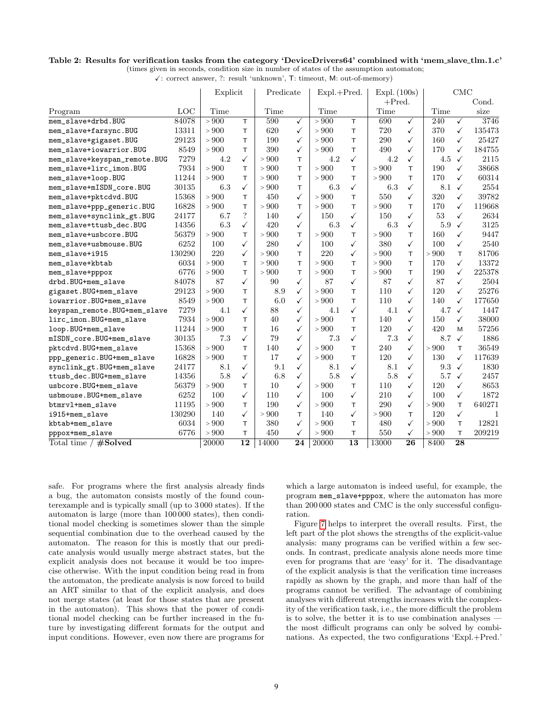#### <span id="page-8-0"></span>Table 2: Results for verification tasks from the category 'DeviceDrivers64' combined with 'mem slave tlm.1.c'

(times given in seconds, condition size in number of states of the assumption automaton;  $\checkmark$ : correct answer, ?: result 'unknown', T: timeout, M: out-of-memory)

|                              |        | Explicit |                          | Predicate |              | Expl.+Pred. |                 | Expl. (100s) |              | CMC   |              |        |
|------------------------------|--------|----------|--------------------------|-----------|--------------|-------------|-----------------|--------------|--------------|-------|--------------|--------|
|                              |        |          |                          |           |              |             |                 | $+$ Pred.    |              |       |              | Cond.  |
| Program                      | LOC    | Time     |                          | Time      |              | Time        |                 | Time         |              | Time  |              | size   |
| mem_slave+drbd.BUG           | 84078  | > 900    | T                        | 590       | $\checkmark$ | > 900       | T.              | 690          | $\checkmark$ | 240   | $\checkmark$ | 3746   |
| mem_slave+farsync.BUG        | 13311  | > 900    | T.                       | 620       | ✓            | > 900       | T.              | 720          | $\checkmark$ | 370   | $\checkmark$ | 135473 |
| mem_slave+gigaset.BUG        | 29123  | > 900    | T                        | 190       | ✓            | > 900       | T               | 290          | ✓            | 160   | $\checkmark$ | 25427  |
| mem_slave+iowarrior.BUG      | 8549   | > 900    | T                        | 390       | ✓            | > 900       | т               | 490          | ✓            | 170   | ✓            | 184755 |
| mem_slave+keyspan_remote.BUG | 7279   | 4.2      | $\checkmark$             | > 900     | T            | 4.2         | $\checkmark$    | 4.2          | ✓            | 4.5   | $\checkmark$ | 2115   |
| mem_slave+lirc_imon.BUG      | 7934   | > 900    | T                        | > 900     | T            | > 900       | т               | > 900        | т            | 190   | ✓            | 38668  |
| mem_slave+loop.BUG           | 11244  | > 900    | T                        | > 900     | T            | > 900       | т               | > 900        | T            | 170   | ✓            | 60314  |
| mem_slave+mISDN_core.BUG     | 30135  | 6.3      | $\checkmark$             | > 900     | T            | 6.3         | $\checkmark$    | 6.3          | ✓            | 8.1   | $\checkmark$ | 2554   |
| mem_slave+pktcdvd.BUG        | 15368  | > 900    | T                        | 450       | ✓            | > 900       | T               | 550          | ✓            | 320   | $\checkmark$ | 39782  |
| mem_slave+ppp_generic.BUG    | 16828  | > 900    | T                        | > 900     | T            | > 900       | T               | > 900        | T.           | 170   | $\checkmark$ | 119668 |
| mem_slave+synclink_gt.BUG    | 24177  | 6.7      | $\overline{\mathcal{L}}$ | 140       | ✓            | 150         | $\checkmark$    | 150          | $\checkmark$ | 53    | $\checkmark$ | 2634   |
| mem_slave+ttusb_dec.BUG      | 14356  | 6.3      | $\checkmark$             | 420       | $\checkmark$ | 6.3         | $\checkmark$    | 6.3          | $\checkmark$ | 5.9   | ✓            | 3125   |
| mem_slave+usbcore.BUG        | 56379  | > 900    | T                        | > 900     | T            | > 900       | T.              | > 900        | T            | 160   | $\checkmark$ | 9447   |
| mem slave+usbmouse.BUG       | 6252   | 100      | $\checkmark$             | 280       | $\checkmark$ | 100         | $\checkmark$    | 380          | $\checkmark$ | 100   | $\checkmark$ | 2540   |
| mem_slave+i915               | 130290 | 220      | $\checkmark$             | > 900     | T.           | 220         | $\checkmark$    | > 900        | T            | > 900 | T.           | 81706  |
| mem_slave+kbtab              | 6034   | > 900    | T                        | > 900     | T.           | > 900       | T.              | > 900        | T            | 170   | $\checkmark$ | 13372  |
| mem_slave+pppox              | 6776   | > 900    | T                        | > 900     | T.           | > 900       | T.              | > 900        | T            | 190   | $\checkmark$ | 225378 |
| drbd.BUG+mem_slave           | 84078  | 87       | $\checkmark$             | 90        | $\checkmark$ | 87          | $\checkmark$    | 87           | ✓            | 87    | $\checkmark$ | 2504   |
| gigaset.BUG+mem_slave        | 29123  | > 900    | T                        | 8.9       | $\checkmark$ | > 900       | T.              | 110          | ✓            | 120   | $\checkmark$ | 25276  |
| iowarrior.BUG+mem_slave      | 8549   | > 900    | T                        | 6.0       | $\checkmark$ | > 900       | T               | 110          | $\checkmark$ | 140   | $\checkmark$ | 177650 |
| keyspan_remote.BUG+mem_slave | 7279   | 4.1      | $\checkmark$             | 88        | ✓            | 4.1         | ✓               | 4.1          | ✓            | 4.7   | ✓            | 1447   |
| lirc_imon.BUG+mem_slave      | 7934   | > 900    | T                        | 40        | ✓            | > 900       | T.              | 140          | ✓            | 150   | $\checkmark$ | 38000  |
| loop.BUG+mem_slave           | 11244  | > 900    | $\top$                   | 16        | ✓            | > 900       | T               | 120          | $\checkmark$ | 420   | M            | 57256  |
| mISDN_core.BUG+mem_slave     | 30135  | 7.3      | $\checkmark$             | 79        | ✓            | 7.3         | $\checkmark$    | 7.3          | ✓            | 8.7   | $\checkmark$ | 1886   |
| pktcdvd.BUG+mem_slave        | 15368  | > 900    | T                        | 140       | ✓            | > 900       | T               | 240          | $\checkmark$ | > 900 | T.           | 36549  |
| ppp_generic.BUG+mem_slave    | 16828  | > 900    | T                        | 17        | ✓            | > 900       | T               | 120          | $\checkmark$ | 130   | ✓            | 117639 |
| synclink_gt.BUG+mem_slave    | 24177  | 8.1      | $\checkmark$             | 9.1       | ✓            | 8.1         | $\checkmark$    | 8.1          | $\checkmark$ | 9.3   | $\checkmark$ | 1830   |
| ttusb_dec.BUG+mem_slave      | 14356  | 5.8      | $\checkmark$             | 6.8       | ✓            | 5.8         | $\checkmark$    | 5.8          | $\checkmark$ | 5.7   | $\checkmark$ | 2457   |
| usbcore.BUG+mem_slave        | 56379  | > 900    | T                        | 10        | $\checkmark$ | > 900       | T               | 110          | $\checkmark$ | 120   | $\checkmark$ | 8653   |
| usbmouse.BUG+mem_slave       | 6252   | 100      | $\checkmark$             | 110       | $\checkmark$ | 100         | $\checkmark$    | 210          | $\checkmark$ | 100   | $\checkmark$ | 1872   |
| btmrvl+mem_slave             | 11195  | > 900    | T                        | 190       | $\checkmark$ | > 900       | T.              | 290          | $\checkmark$ | > 900 | T.           | 640271 |
| i915+mem_slave               | 130290 | 140      | $\checkmark$             | > 900     | T            | 140         | $\checkmark$    | > 900        | T            | 120   | $\checkmark$ | 1      |
| kbtab+mem_slave              | 6034   | > 900    | T                        | 380       | $\checkmark$ | > 900       | T.              | 480          | $\checkmark$ | > 900 | T.           | 12821  |
| pppox+mem_slave              | 6776   | > 900    | T                        | 450       | $\checkmark$ | > 900       | T               | 550          | $\checkmark$ | > 900 | T            | 209219 |
| Total time $/$ #Solved       |        | 20000    | 12                       | 14000     | 24           | 20000       | $\overline{13}$ | 13000        | 26           | 8400  | 28           |        |

safe. For programs where the first analysis already finds a bug, the automaton consists mostly of the found counterexample and is typically small (up to 3 000 states). If the automaton is large (more than 100 000 states), then conditional model checking is sometimes slower than the simple sequential combination due to the overhead caused by the automaton. The reason for this is mostly that our predicate analysis would usually merge abstract states, but the explicit analysis does not because it would be too imprecise otherwise. With the input condition being read in from the automaton, the predicate analysis is now forced to build an ART similar to that of the explicit analysis, and does not merge states (at least for those states that are present in the automaton). This shows that the power of conditional model checking can be further increased in the future by investigating different formats for the output and input conditions. However, even now there are programs for which a large automaton is indeed useful, for example, the program mem\_slave+pppox, where the automaton has more than 200 000 states and CMC is the only successful configuration.

Figure [7](#page-9-0) helps to interpret the overall results. First, the left part of the plot shows the strengths of the explicit-value analysis: many programs can be verified within a few seconds. In contrast, predicate analysis alone needs more time even for programs that are 'easy' for it. The disadvantage of the explicit analysis is that the verification time increases rapidly as shown by the graph, and more than half of the programs cannot be verified. The advantage of combining analyses with different strengths increases with the complexity of the verification task, i.e., the more difficult the problem is to solve, the better it is to use combination analyses the most difficult programs can only be solved by combinations. As expected, the two configurations 'Expl.+Pred.'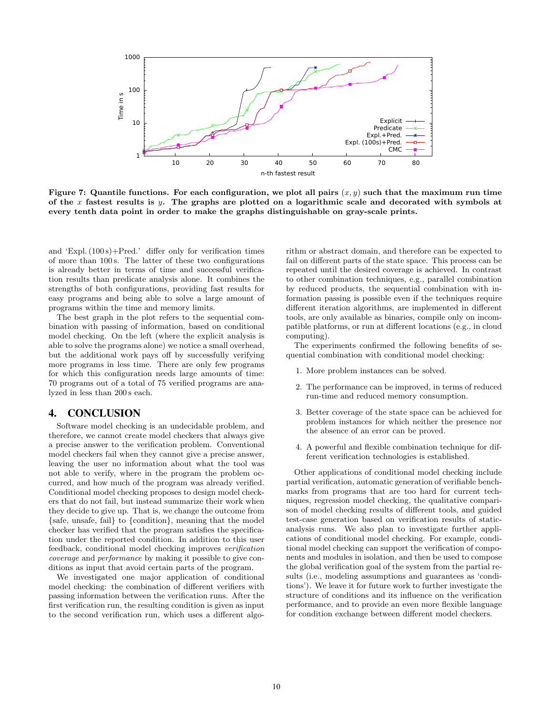

<span id="page-9-0"></span>Figure 7: Quantile functions. For each configuration, we plot all pairs  $(x, y)$  such that the maximum run time of the x fastest results is y. The graphs are plotted on a logarithmic scale and decorated with symbols at every tenth data point in order to make the graphs distinguishable on gray-scale prints.

and 'Expl.  $(100 s)$ +Pred.' differ only for verification times of more than 100 s. The latter of these two configurations is already better in terms of time and successful verification results than predicate analysis alone. It combines the strengths of both configurations, providing fast results for easy programs and being able to solve a large amount of programs within the time and memory limits.

The best graph in the plot refers to the sequential combination with passing of information, based on conditional model checking. On the left (where the explicit analysis is able to solve the programs alone) we notice a small overhead, but the additional work pays off by successfully verifying more programs in less time. There are only few programs for which this configuration needs large amounts of time: 70 programs out of a total of 75 verified programs are analyzed in less than 200 s each.

## 4. CONCLUSION

Software model checking is an undecidable problem, and therefore, we cannot create model checkers that always give a precise answer to the verification problem. Conventional model checkers fail when they cannot give a precise answer, leaving the user no information about what the tool was not able to verify, where in the program the problem occurred, and how much of the program was already verified. Conditional model checking proposes to design model checkers that do not fail, but instead summarize their work when they decide to give up. That is, we change the outcome from {safe, unsafe, fail} to {condition}, meaning that the model checker has verified that the program satisfies the specification under the reported condition. In addition to this user feedback, conditional model checking improves verification coverage and performance by making it possible to give conditions as input that avoid certain parts of the program.

We investigated one major application of conditional model checking: the combination of different verifiers with passing information between the verification runs. After the first verification run, the resulting condition is given as input to the second verification run, which uses a different algorithm or abstract domain, and therefore can be expected to fail on different parts of the state space. This process can be repeated until the desired coverage is achieved. In contrast to other combination techniques, e.g., parallel combination by reduced products, the sequential combination with information passing is possible even if the techniques require different iteration algorithms, are implemented in different tools, are only available as binaries, compile only on incompatible platforms, or run at different locations (e.g., in cloud computing).

The experiments confirmed the following benefits of sequential combination with conditional model checking:

- 1. More problem instances can be solved.
- 2. The performance can be improved, in terms of reduced run-time and reduced memory consumption.
- 3. Better coverage of the state space can be achieved for problem instances for which neither the presence nor the absence of an error can be proved.
- 4. A powerful and flexible combination technique for different verification technologies is established.

Other applications of conditional model checking include partial verification, automatic generation of verifiable benchmarks from programs that are too hard for current techniques, regression model checking, the qualitative comparison of model checking results of different tools, and guided test-case generation based on verification results of staticanalysis runs. We also plan to investigate further applications of conditional model checking. For example, conditional model checking can support the verification of components and modules in isolation, and then be used to compose the global verification goal of the system from the partial results (i.e., modeling assumptions and guarantees as 'conditions'). We leave it for future work to further investigate the structure of conditions and its influence on the verification performance, and to provide an even more flexible language for condition exchange between different model checkers.